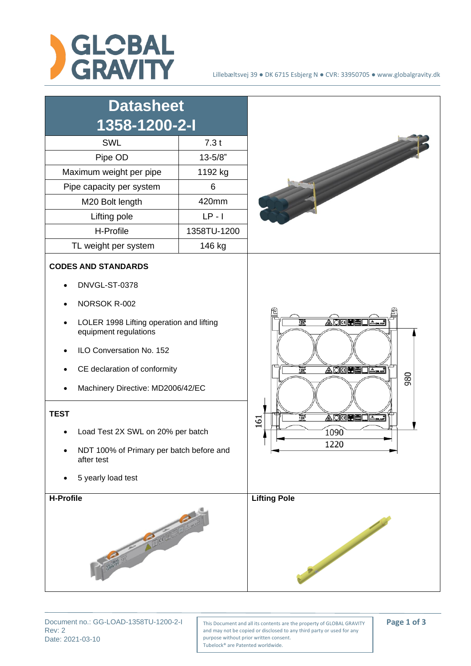

| <b>Datasheet</b><br>1358-1200-2-I                                                                                                                                                                                                                                                                                                                                     |             |                                                                                                                              |
|-----------------------------------------------------------------------------------------------------------------------------------------------------------------------------------------------------------------------------------------------------------------------------------------------------------------------------------------------------------------------|-------------|------------------------------------------------------------------------------------------------------------------------------|
| SWL                                                                                                                                                                                                                                                                                                                                                                   | 7.3t        |                                                                                                                              |
| Pipe OD                                                                                                                                                                                                                                                                                                                                                               | $13 - 5/8"$ |                                                                                                                              |
| Maximum weight per pipe                                                                                                                                                                                                                                                                                                                                               | 1192 kg     |                                                                                                                              |
| Pipe capacity per system                                                                                                                                                                                                                                                                                                                                              | 6           |                                                                                                                              |
| M20 Bolt length                                                                                                                                                                                                                                                                                                                                                       | 420mm       |                                                                                                                              |
| Lifting pole                                                                                                                                                                                                                                                                                                                                                          | $LP - I$    |                                                                                                                              |
| H-Profile                                                                                                                                                                                                                                                                                                                                                             | 1358TU-1200 |                                                                                                                              |
| TL weight per system                                                                                                                                                                                                                                                                                                                                                  | 146 kg      |                                                                                                                              |
| <b>CODES AND STANDARDS</b><br>DNVGL-ST-0378<br>NORSOK R-002<br>LOLER 1998 Lifting operation and lifting<br>equipment regulations<br>ILO Conversation No. 152<br>CE declaration of conformity<br>Machinery Directive: MD2006/42/EC<br><b>TEST</b><br>Load Test 2X SWL on 20% per batch<br>NDT 100% of Primary per batch before and<br>after test<br>5 yearly load test |             | AOKUELA.<br>$\frac{1}{13}$<br>ADKEL A<br>$\overline{137}$<br>980<br>AD <b>QUELA</b><br>$\frac{1}{13}$<br>161<br>1090<br>1220 |
| H-Profile                                                                                                                                                                                                                                                                                                                                                             |             | <b>Lifting Pole</b>                                                                                                          |

Rev: 2 Date: 2021-03-10

Document no.: GG-LOAD-1358TU-1200-2-1 | This Document and all its contents are the property of GLOBAL GRAVITY | **Page 1 of 3** and may not be copied or disclosed to any third party or used for any purpose without prior written consent. Tubelock® are Patented worldwide.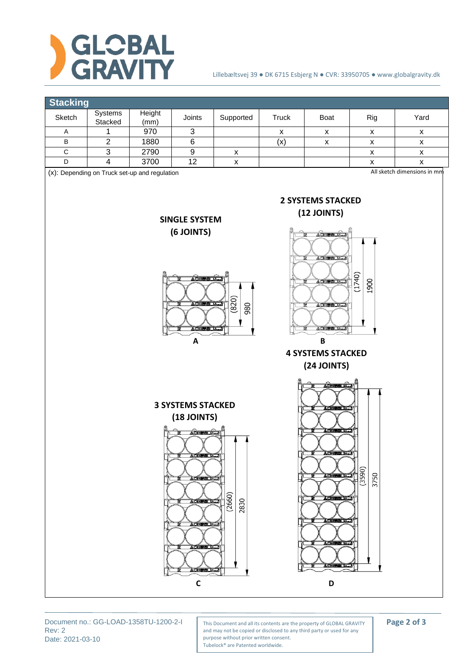



Rev: 2 Date: 2021-03-10

Document no.: GG-LOAD-1358TU-1200-2-1 | This Document and all its contents are the property of GLOBAL GRAVITY | **Page 2 of 3** and may not be copied or disclosed to any third party or used for any purpose without prior written consent. Tubelock® are Patented worldwide.